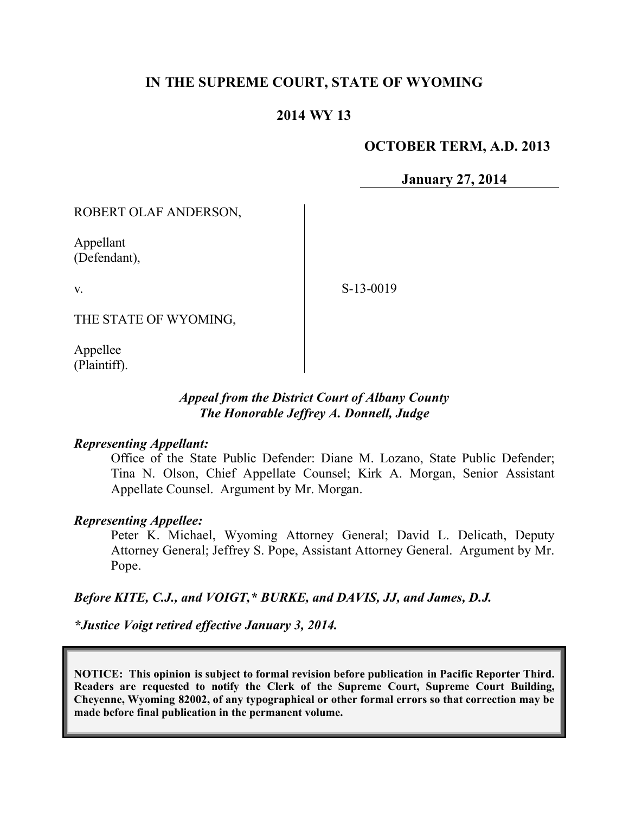# **IN THE SUPREME COURT, STATE OF WYOMING**

## **2014 WY 13**

### **OCTOBER TERM, A.D. 2013**

**January 27, 2014**

ROBERT OLAF ANDERSON,

Appellant (Defendant),

v.

S-13-0019

THE STATE OF WYOMING,

Appellee (Plaintiff).

### *Appeal from the District Court of Albany County The Honorable Jeffrey A. Donnell, Judge*

#### *Representing Appellant:*

Office of the State Public Defender: Diane M. Lozano, State Public Defender; Tina N. Olson, Chief Appellate Counsel; Kirk A. Morgan, Senior Assistant Appellate Counsel. Argument by Mr. Morgan.

#### *Representing Appellee:*

Peter K. Michael, Wyoming Attorney General; David L. Delicath, Deputy Attorney General; Jeffrey S. Pope, Assistant Attorney General. Argument by Mr. Pope.

#### *Before KITE, C.J., and VOIGT,\* BURKE, and DAVIS, JJ, and James, D.J.*

*\*Justice Voigt retired effective January 3, 2014.*

**NOTICE: This opinion is subject to formal revision before publication in Pacific Reporter Third. Readers are requested to notify the Clerk of the Supreme Court, Supreme Court Building, Cheyenne, Wyoming 82002, of any typographical or other formal errors so that correction may be made before final publication in the permanent volume.**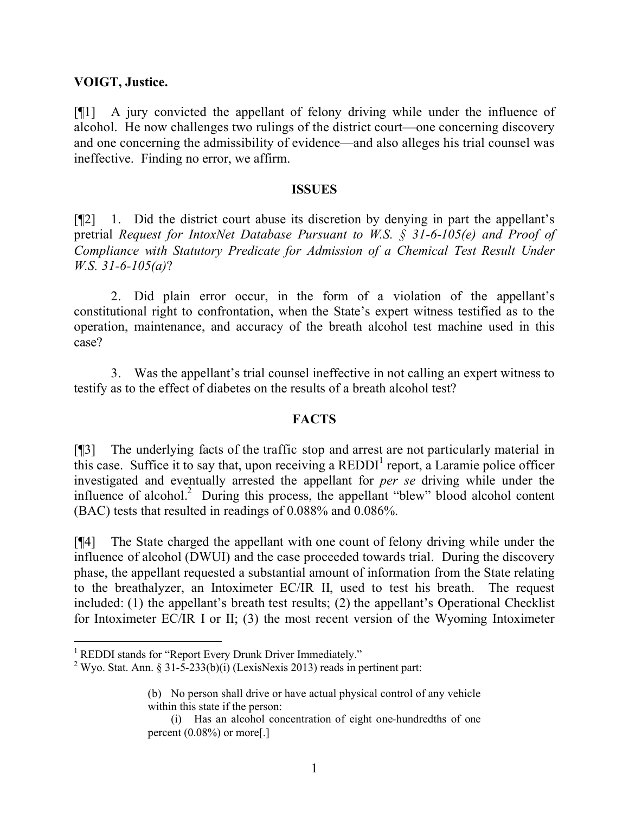#### **VOIGT, Justice.**

[¶1] A jury convicted the appellant of felony driving while under the influence of alcohol. He now challenges two rulings of the district court—one concerning discovery and one concerning the admissibility of evidence—and also alleges his trial counsel was ineffective. Finding no error, we affirm.

#### **ISSUES**

[¶2] 1. Did the district court abuse its discretion by denying in part the appellant's pretrial *Request for IntoxNet Database Pursuant to W.S. § 31-6-105(e) and Proof of Compliance with Statutory Predicate for Admission of a Chemical Test Result Under W.S. 31-6-105(a)*?

2. Did plain error occur, in the form of a violation of the appellant's constitutional right to confrontation, when the State's expert witness testified as to the operation, maintenance, and accuracy of the breath alcohol test machine used in this case?

3. Was the appellant's trial counsel ineffective in not calling an expert witness to testify as to the effect of diabetes on the results of a breath alcohol test?

## **FACTS**

[¶3] The underlying facts of the traffic stop and arrest are not particularly material in this case. Suffice it to say that, upon receiving a  $REDDI<sup>1</sup>$  report, a Laramie police officer investigated and eventually arrested the appellant for *per se* driving while under the influence of alcohol.<sup>2</sup> During this process, the appellant "blew" blood alcohol content (BAC) tests that resulted in readings of 0.088% and 0.086%.

[¶4] The State charged the appellant with one count of felony driving while under the influence of alcohol (DWUI) and the case proceeded towards trial. During the discovery phase, the appellant requested a substantial amount of information from the State relating to the breathalyzer, an Intoximeter EC/IR II, used to test his breath. The request included: (1) the appellant's breath test results; (2) the appellant's Operational Checklist for Intoximeter EC/IR I or II; (3) the most recent version of the Wyoming Intoximeter

 $\overline{a}$ 

<sup>&</sup>lt;sup>1</sup> REDDI stands for "Report Every Drunk Driver Immediately."

<sup>&</sup>lt;sup>2</sup> Wyo. Stat. Ann. § 31-5-233(b)(i) (LexisNexis 2013) reads in pertinent part:

<sup>(</sup>b) No person shall drive or have actual physical control of any vehicle within this state if the person:

<sup>(</sup>i) Has an alcohol concentration of eight one-hundredths of one percent  $(0.08\%)$  or more[.]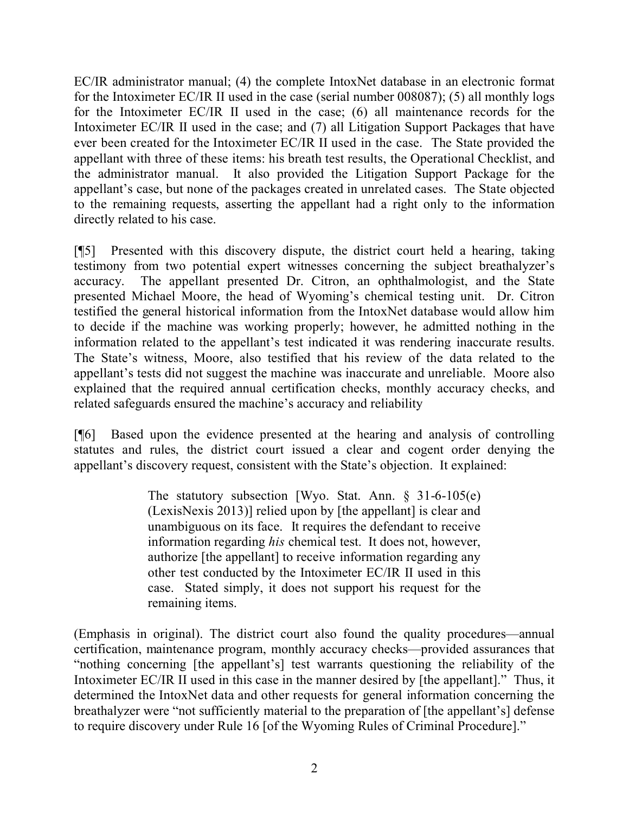EC/IR administrator manual; (4) the complete IntoxNet database in an electronic format for the Intoximeter EC/IR II used in the case (serial number 008087); (5) all monthly logs for the Intoximeter EC/IR II used in the case; (6) all maintenance records for the Intoximeter EC/IR II used in the case; and (7) all Litigation Support Packages that have ever been created for the Intoximeter EC/IR II used in the case. The State provided the appellant with three of these items: his breath test results, the Operational Checklist, and the administrator manual. It also provided the Litigation Support Package for the appellant's case, but none of the packages created in unrelated cases. The State objected to the remaining requests, asserting the appellant had a right only to the information directly related to his case.

[¶5] Presented with this discovery dispute, the district court held a hearing, taking testimony from two potential expert witnesses concerning the subject breathalyzer's accuracy. The appellant presented Dr. Citron, an ophthalmologist, and the State presented Michael Moore, the head of Wyoming's chemical testing unit. Dr. Citron testified the general historical information from the IntoxNet database would allow him to decide if the machine was working properly; however, he admitted nothing in the information related to the appellant's test indicated it was rendering inaccurate results. The State's witness, Moore, also testified that his review of the data related to the appellant's tests did not suggest the machine was inaccurate and unreliable. Moore also explained that the required annual certification checks, monthly accuracy checks, and related safeguards ensured the machine's accuracy and reliability

[¶6] Based upon the evidence presented at the hearing and analysis of controlling statutes and rules, the district court issued a clear and cogent order denying the appellant's discovery request, consistent with the State's objection. It explained:

> The statutory subsection [Wyo. Stat. Ann. § 31-6-105(e) (LexisNexis 2013)] relied upon by [the appellant] is clear and unambiguous on its face. It requires the defendant to receive information regarding *his* chemical test. It does not, however, authorize [the appellant] to receive information regarding any other test conducted by the Intoximeter EC/IR II used in this case. Stated simply, it does not support his request for the remaining items.

(Emphasis in original). The district court also found the quality procedures—annual certification, maintenance program, monthly accuracy checks—provided assurances that "nothing concerning [the appellant's] test warrants questioning the reliability of the Intoximeter EC/IR II used in this case in the manner desired by [the appellant]." Thus, it determined the IntoxNet data and other requests for general information concerning the breathalyzer were "not sufficiently material to the preparation of [the appellant's] defense to require discovery under Rule 16 [of the Wyoming Rules of Criminal Procedure]."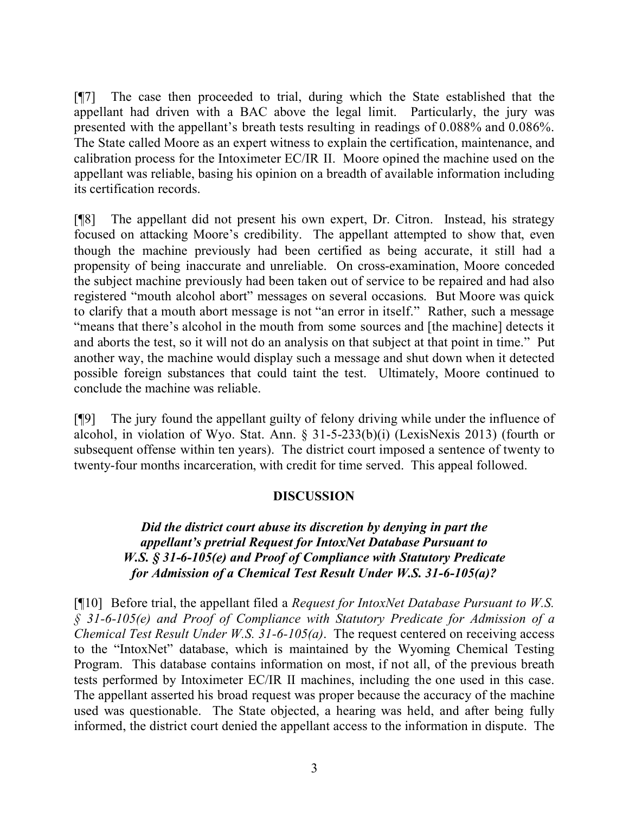[¶7] The case then proceeded to trial, during which the State established that the appellant had driven with a BAC above the legal limit. Particularly, the jury was presented with the appellant's breath tests resulting in readings of 0.088% and 0.086%. The State called Moore as an expert witness to explain the certification, maintenance, and calibration process for the Intoximeter EC/IR II. Moore opined the machine used on the appellant was reliable, basing his opinion on a breadth of available information including its certification records.

[¶8] The appellant did not present his own expert, Dr. Citron. Instead, his strategy focused on attacking Moore's credibility. The appellant attempted to show that, even though the machine previously had been certified as being accurate, it still had a propensity of being inaccurate and unreliable. On cross-examination, Moore conceded the subject machine previously had been taken out of service to be repaired and had also registered "mouth alcohol abort" messages on several occasions. But Moore was quick to clarify that a mouth abort message is not "an error in itself." Rather, such a message "means that there's alcohol in the mouth from some sources and [the machine] detects it and aborts the test, so it will not do an analysis on that subject at that point in time." Put another way, the machine would display such a message and shut down when it detected possible foreign substances that could taint the test. Ultimately, Moore continued to conclude the machine was reliable.

[¶9] The jury found the appellant guilty of felony driving while under the influence of alcohol, in violation of Wyo. Stat. Ann. § 31-5-233(b)(i) (LexisNexis 2013) (fourth or subsequent offense within ten years). The district court imposed a sentence of twenty to twenty-four months incarceration, with credit for time served. This appeal followed.

## **DISCUSSION**

# *Did the district court abuse its discretion by denying in part the appellant's pretrial Request for IntoxNet Database Pursuant to W.S. § 31-6-105(e) and Proof of Compliance with Statutory Predicate for Admission of a Chemical Test Result Under W.S. 31-6-105(a)?*

[¶10] Before trial, the appellant filed a *Request for IntoxNet Database Pursuant to W.S. § 31-6-105(e) and Proof of Compliance with Statutory Predicate for Admission of a Chemical Test Result Under W.S. 31-6-105(a)*. The request centered on receiving access to the "IntoxNet" database, which is maintained by the Wyoming Chemical Testing Program. This database contains information on most, if not all, of the previous breath tests performed by Intoximeter EC/IR II machines, including the one used in this case. The appellant asserted his broad request was proper because the accuracy of the machine used was questionable. The State objected, a hearing was held, and after being fully informed, the district court denied the appellant access to the information in dispute. The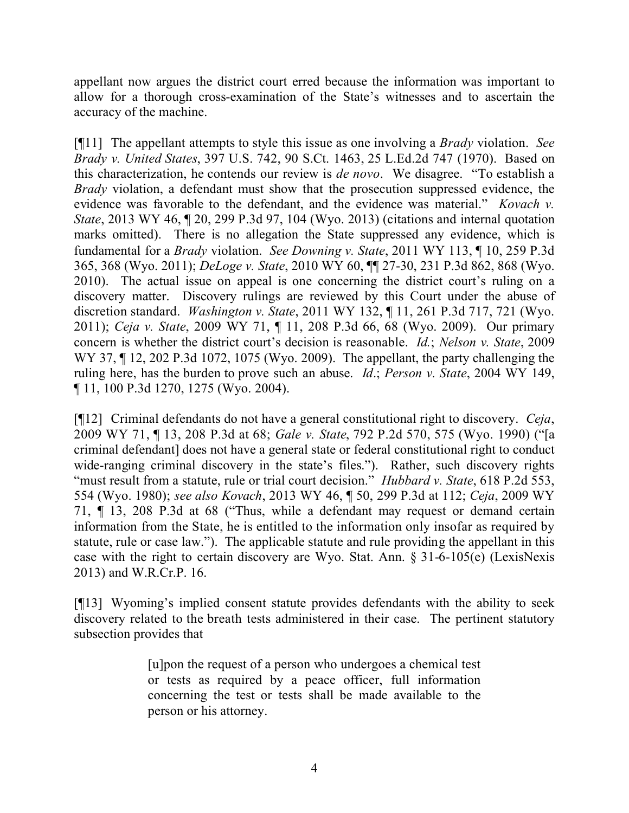appellant now argues the district court erred because the information was important to allow for a thorough cross-examination of the State's witnesses and to ascertain the accuracy of the machine.

[¶11] The appellant attempts to style this issue as one involving a *Brady* violation. *See Brady v. United States*, 397 U.S. 742, 90 S.Ct. 1463, 25 L.Ed.2d 747 (1970). Based on this characterization, he contends our review is *de novo*. We disagree. "To establish a *Brady* violation, a defendant must show that the prosecution suppressed evidence, the evidence was favorable to the defendant, and the evidence was material." *Kovach v. State*, 2013 WY 46, 120, 299 P.3d 97, 104 (Wyo. 2013) (citations and internal quotation marks omitted). There is no allegation the State suppressed any evidence, which is fundamental for a *Brady* violation. *See Downing v. State*, 2011 WY 113, ¶ 10, 259 P.3d 365, 368 (Wyo. 2011); *DeLoge v. State*, 2010 WY 60, ¶¶ 27-30, 231 P.3d 862, 868 (Wyo. 2010). The actual issue on appeal is one concerning the district court's ruling on a discovery matter. Discovery rulings are reviewed by this Court under the abuse of discretion standard. *Washington v. State*, 2011 WY 132, ¶ 11, 261 P.3d 717, 721 (Wyo. 2011); *Ceja v. State*, 2009 WY 71, ¶ 11, 208 P.3d 66, 68 (Wyo. 2009). Our primary concern is whether the district court's decision is reasonable. *Id.*; *Nelson v. State*, 2009 WY 37, ¶ 12, 202 P.3d 1072, 1075 (Wyo. 2009). The appellant, the party challenging the ruling here, has the burden to prove such an abuse. *Id*.; *Person v. State*, 2004 WY 149, ¶ 11, 100 P.3d 1270, 1275 (Wyo. 2004).

[¶12] Criminal defendants do not have a general constitutional right to discovery. *Ceja*, 2009 WY 71, ¶ 13, 208 P.3d at 68; *Gale v. State*, 792 P.2d 570, 575 (Wyo. 1990) ("[a criminal defendant] does not have a general state or federal constitutional right to conduct wide-ranging criminal discovery in the state's files."). Rather, such discovery rights "must result from a statute, rule or trial court decision." *Hubbard v. State*, 618 P.2d 553, 554 (Wyo. 1980); *see also Kovach*, 2013 WY 46, ¶ 50, 299 P.3d at 112; *Ceja*, 2009 WY 71, ¶ 13, 208 P.3d at 68 ("Thus, while a defendant may request or demand certain information from the State, he is entitled to the information only insofar as required by statute, rule or case law."). The applicable statute and rule providing the appellant in this case with the right to certain discovery are Wyo. Stat. Ann. § 31-6-105(e) (LexisNexis 2013) and W.R.Cr.P. 16.

[¶13] Wyoming's implied consent statute provides defendants with the ability to seek discovery related to the breath tests administered in their case. The pertinent statutory subsection provides that

> [u]pon the request of a person who undergoes a chemical test or tests as required by a peace officer, full information concerning the test or tests shall be made available to the person or his attorney.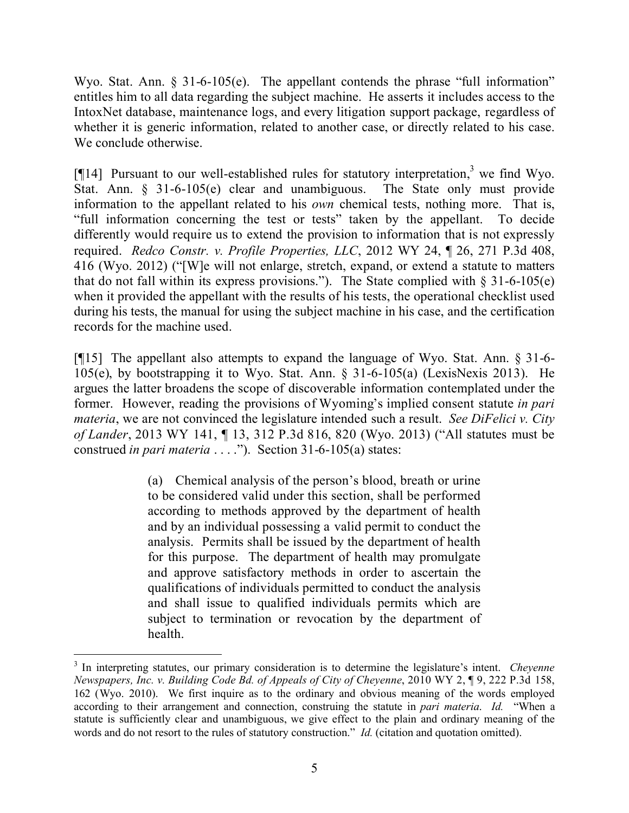Wyo. Stat. Ann. § 31-6-105(e). The appellant contends the phrase "full information" entitles him to all data regarding the subject machine. He asserts it includes access to the IntoxNet database, maintenance logs, and every litigation support package, regardless of whether it is generic information, related to another case, or directly related to his case. We conclude otherwise.

[ $[14]$  Pursuant to our well-established rules for statutory interpretation,<sup>3</sup> we find Wyo. Stat. Ann. § 31-6-105(e) clear and unambiguous. The State only must provide information to the appellant related to his *own* chemical tests, nothing more. That is, "full information concerning the test or tests" taken by the appellant. To decide differently would require us to extend the provision to information that is not expressly required. *Redco Constr. v. Profile Properties, LLC*, 2012 WY 24, ¶ 26, 271 P.3d 408, 416 (Wyo. 2012) ("[W]e will not enlarge, stretch, expand, or extend a statute to matters that do not fall within its express provisions."). The State complied with  $\S 31-6-105(e)$ when it provided the appellant with the results of his tests, the operational checklist used during his tests, the manual for using the subject machine in his case, and the certification records for the machine used.

[¶15] The appellant also attempts to expand the language of Wyo. Stat. Ann. § 31-6- 105(e), by bootstrapping it to Wyo. Stat. Ann. § 31-6-105(a) (LexisNexis 2013). He argues the latter broadens the scope of discoverable information contemplated under the former. However, reading the provisions of Wyoming's implied consent statute *in pari materia*, we are not convinced the legislature intended such a result. *See DiFelici v. City of Lander*, 2013 WY 141, ¶ 13, 312 P.3d 816, 820 (Wyo. 2013) ("All statutes must be construed *in pari materia* . . . ."). Section 31-6-105(a) states:

> (a) Chemical analysis of the person's blood, breath or urine to be considered valid under this section, shall be performed according to methods approved by the department of health and by an individual possessing a valid permit to conduct the analysis. Permits shall be issued by the department of health for this purpose. The department of health may promulgate and approve satisfactory methods in order to ascertain the qualifications of individuals permitted to conduct the analysis and shall issue to qualified individuals permits which are subject to termination or revocation by the department of health.

<sup>3</sup> In interpreting statutes, our primary consideration is to determine the legislature's intent. *Cheyenne Newspapers, Inc. v. Building Code Bd. of Appeals of City of Cheyenne*, 2010 WY 2, ¶ 9, 222 P.3d 158, 162 (Wyo. 2010). We first inquire as to the ordinary and obvious meaning of the words employed according to their arrangement and connection, construing the statute in *pari materia*. *Id.* "When a statute is sufficiently clear and unambiguous, we give effect to the plain and ordinary meaning of the words and do not resort to the rules of statutory construction." *Id.* (citation and quotation omitted).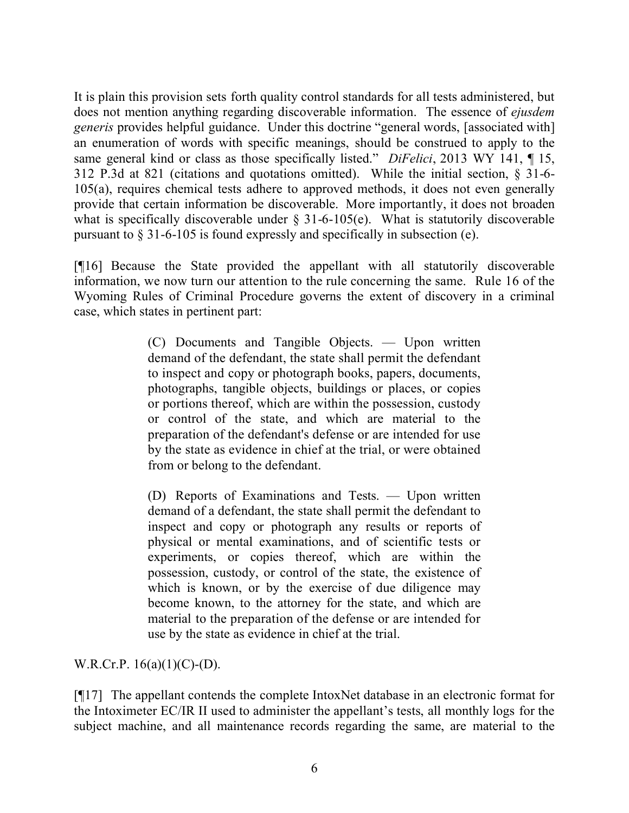It is plain this provision sets forth quality control standards for all tests administered, but does not mention anything regarding discoverable information. The essence of *ejusdem generis* provides helpful guidance. Under this doctrine "general words, [associated with] an enumeration of words with specific meanings, should be construed to apply to the same general kind or class as those specifically listed." *DiFelici*, 2013 WY 141, ¶ 15, 312 P.3d at 821 (citations and quotations omitted). While the initial section, § 31-6- 105(a), requires chemical tests adhere to approved methods, it does not even generally provide that certain information be discoverable. More importantly, it does not broaden what is specifically discoverable under  $\S$  31-6-105(e). What is statutorily discoverable pursuant to § 31-6-105 is found expressly and specifically in subsection (e).

[¶16] Because the State provided the appellant with all statutorily discoverable information, we now turn our attention to the rule concerning the same. Rule 16 of the Wyoming Rules of Criminal Procedure governs the extent of discovery in a criminal case, which states in pertinent part:

> (C) Documents and Tangible Objects. — Upon written demand of the defendant, the state shall permit the defendant to inspect and copy or photograph books, papers, documents, photographs, tangible objects, buildings or places, or copies or portions thereof, which are within the possession, custody or control of the state, and which are material to the preparation of the defendant's defense or are intended for use by the state as evidence in chief at the trial, or were obtained from or belong to the defendant.

> (D) Reports of Examinations and Tests. — Upon written demand of a defendant, the state shall permit the defendant to inspect and copy or photograph any results or reports of physical or mental examinations, and of scientific tests or experiments, or copies thereof, which are within the possession, custody, or control of the state, the existence of which is known, or by the exercise of due diligence may become known, to the attorney for the state, and which are material to the preparation of the defense or are intended for use by the state as evidence in chief at the trial.

W.R.Cr.P.  $16(a)(1)(C)-(D)$ .

[¶17] The appellant contends the complete IntoxNet database in an electronic format for the Intoximeter EC/IR II used to administer the appellant's tests, all monthly logs for the subject machine, and all maintenance records regarding the same, are material to the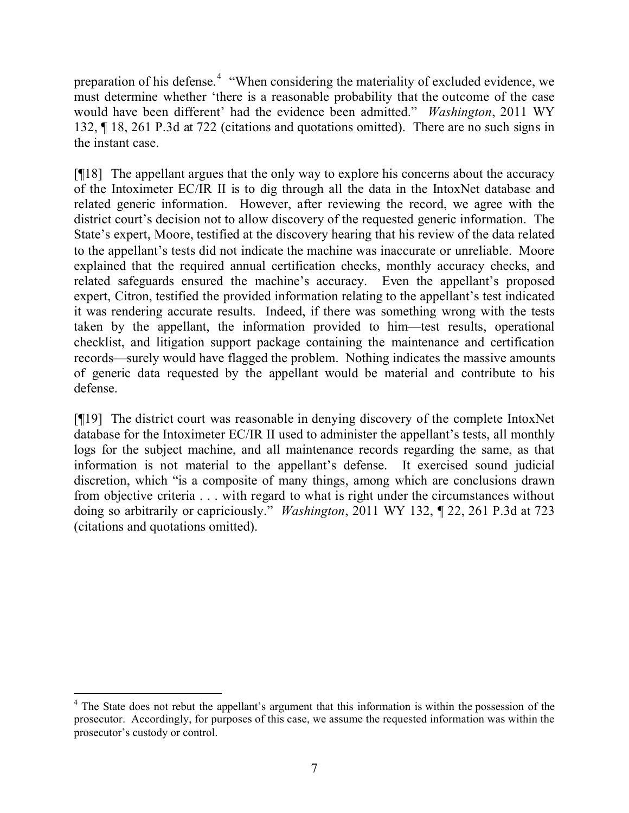preparation of his defense.<sup>4</sup> "When considering the materiality of excluded evidence, we must determine whether 'there is a reasonable probability that the outcome of the case would have been different' had the evidence been admitted." *Washington*, 2011 WY 132, ¶ 18, 261 P.3d at 722 (citations and quotations omitted). There are no such signs in the instant case.

[¶18] The appellant argues that the only way to explore his concerns about the accuracy of the Intoximeter EC/IR II is to dig through all the data in the IntoxNet database and related generic information. However, after reviewing the record, we agree with the district court's decision not to allow discovery of the requested generic information. The State's expert, Moore, testified at the discovery hearing that his review of the data related to the appellant's tests did not indicate the machine was inaccurate or unreliable. Moore explained that the required annual certification checks, monthly accuracy checks, and related safeguards ensured the machine's accuracy. Even the appellant's proposed expert, Citron, testified the provided information relating to the appellant's test indicated it was rendering accurate results. Indeed, if there was something wrong with the tests taken by the appellant, the information provided to him—test results, operational checklist, and litigation support package containing the maintenance and certification records—surely would have flagged the problem. Nothing indicates the massive amounts of generic data requested by the appellant would be material and contribute to his defense.

[¶19] The district court was reasonable in denying discovery of the complete IntoxNet database for the Intoximeter EC/IR II used to administer the appellant's tests, all monthly logs for the subject machine, and all maintenance records regarding the same, as that information is not material to the appellant's defense. It exercised sound judicial discretion, which "is a composite of many things, among which are conclusions drawn from objective criteria . . . with regard to what is right under the circumstances without doing so arbitrarily or capriciously." *Washington*, 2011 WY 132, ¶ 22, 261 P.3d at 723 (citations and quotations omitted).

 $\overline{a}$ <sup>4</sup> The State does not rebut the appellant's argument that this information is within the possession of the prosecutor. Accordingly, for purposes of this case, we assume the requested information was within the prosecutor's custody or control.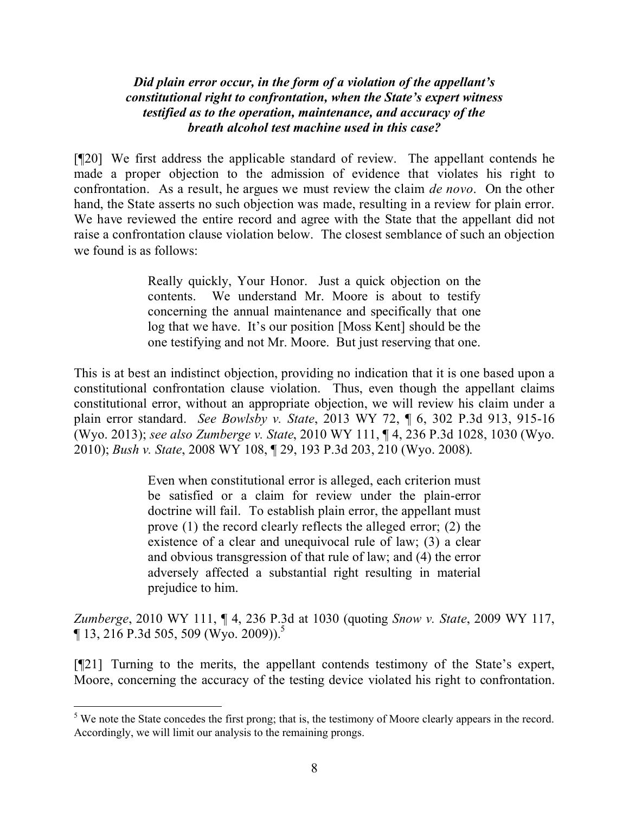*Did plain error occur, in the form of a violation of the appellant's constitutional right to confrontation, when the State's expert witness testified as to the operation, maintenance, and accuracy of the breath alcohol test machine used in this case?*

[¶20] We first address the applicable standard of review. The appellant contends he made a proper objection to the admission of evidence that violates his right to confrontation. As a result, he argues we must review the claim *de novo*. On the other hand, the State asserts no such objection was made, resulting in a review for plain error. We have reviewed the entire record and agree with the State that the appellant did not raise a confrontation clause violation below. The closest semblance of such an objection we found is as follows:

> Really quickly, Your Honor. Just a quick objection on the contents. We understand Mr. Moore is about to testify concerning the annual maintenance and specifically that one log that we have. It's our position [Moss Kent] should be the one testifying and not Mr. Moore. But just reserving that one.

This is at best an indistinct objection, providing no indication that it is one based upon a constitutional confrontation clause violation. Thus, even though the appellant claims constitutional error, without an appropriate objection, we will review his claim under a plain error standard. *See Bowlsby v. State*, 2013 WY 72, ¶ 6, 302 P.3d 913, 915-16 (Wyo. 2013); *see also Zumberge v. State*, 2010 WY 111, ¶ 4, 236 P.3d 1028, 1030 (Wyo. 2010); *Bush v. State*, 2008 WY 108, ¶ 29, 193 P.3d 203, 210 (Wyo. 2008).

> Even when constitutional error is alleged, each criterion must be satisfied or a claim for review under the plain-error doctrine will fail. To establish plain error, the appellant must prove (1) the record clearly reflects the alleged error; (2) the existence of a clear and unequivocal rule of law; (3) a clear and obvious transgression of that rule of law; and (4) the error adversely affected a substantial right resulting in material prejudice to him.

*Zumberge*, 2010 WY 111, ¶ 4, 236 P.3d at 1030 (quoting *Snow v. State*, 2009 WY 117,  $\P$  13, 216 P.3d 505, 509 (Wyo. 2009)).<sup>5</sup>

[¶21] Turning to the merits, the appellant contends testimony of the State's expert, Moore, concerning the accuracy of the testing device violated his right to confrontation.

 $\overline{a}$ 

<sup>&</sup>lt;sup>5</sup> We note the State concedes the first prong; that is, the testimony of Moore clearly appears in the record. Accordingly, we will limit our analysis to the remaining prongs.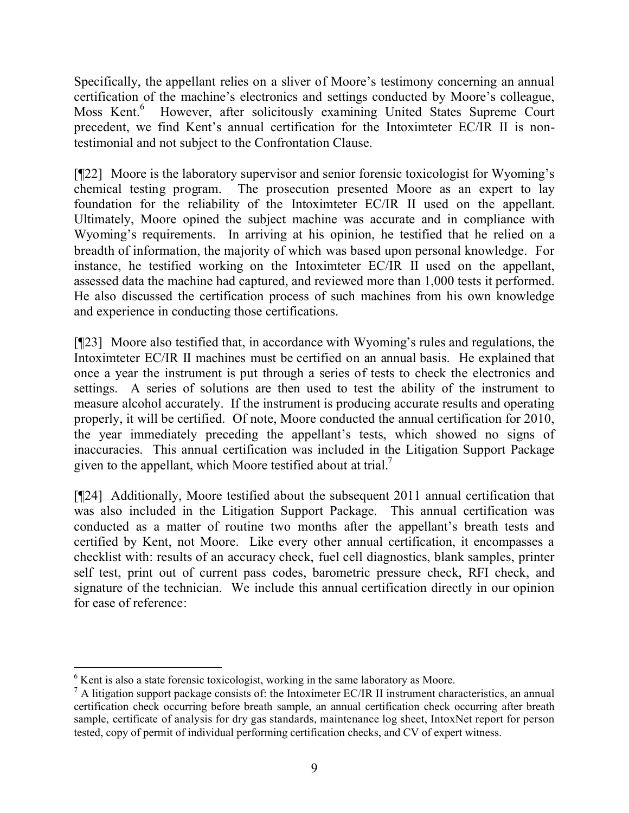Specifically, the appellant relies on a sliver of Moore's testimony concerning an annual certification of the machine's electronics and settings conducted by Moore's colleague, Moss Kent.<sup>6</sup> However, after solicitously examining United States Supreme Court precedent, we find Kent's annual certification for the Intoximteter EC/IR II is nontestimonial and not subject to the Confrontation Clause.

[¶22] Moore is the laboratory supervisor and senior forensic toxicologist for Wyoming's chemical testing program. The prosecution presented Moore as an expert to lay foundation for the reliability of the Intoximteter EC/IR II used on the appellant. Ultimately, Moore opined the subject machine was accurate and in compliance with Wyoming's requirements. In arriving at his opinion, he testified that he relied on a breadth of information, the majority of which was based upon personal knowledge. For instance, he testified working on the Intoximteter EC/IR II used on the appellant, assessed data the machine had captured, and reviewed more than 1,000 tests it performed. He also discussed the certification process of such machines from his own knowledge and experience in conducting those certifications.

[¶23] Moore also testified that, in accordance with Wyoming's rules and regulations, the Intoximteter EC/IR II machines must be certified on an annual basis. He explained that once a year the instrument is put through a series of tests to check the electronics and settings. A series of solutions are then used to test the ability of the instrument to measure alcohol accurately. If the instrument is producing accurate results and operating properly, it will be certified. Of note, Moore conducted the annual certification for 2010, the year immediately preceding the appellant's tests, which showed no signs of inaccuracies. This annual certification was included in the Litigation Support Package given to the appellant, which Moore testified about at trial.<sup>7</sup>

[¶24] Additionally, Moore testified about the subsequent 2011 annual certification that was also included in the Litigation Support Package. This annual certification was conducted as a matter of routine two months after the appellant's breath tests and certified by Kent, not Moore. Like every other annual certification, it encompasses a checklist with: results of an accuracy check, fuel cell diagnostics, blank samples, printer self test, print out of current pass codes, barometric pressure check, RFI check, and signature of the technician. We include this annual certification directly in our opinion for ease of reference:

 $\overline{a}$  $6$  Kent is also a state forensic toxicologist, working in the same laboratory as Moore.

 $^7$  A litigation support package consists of: the Intoximeter EC/IR II instrument characteristics, an annual certification check occurring before breath sample, an annual certification check occurring after breath sample, certificate of analysis for dry gas standards, maintenance log sheet, IntoxNet report for person tested, copy of permit of individual performing certification checks, and CV of expert witness.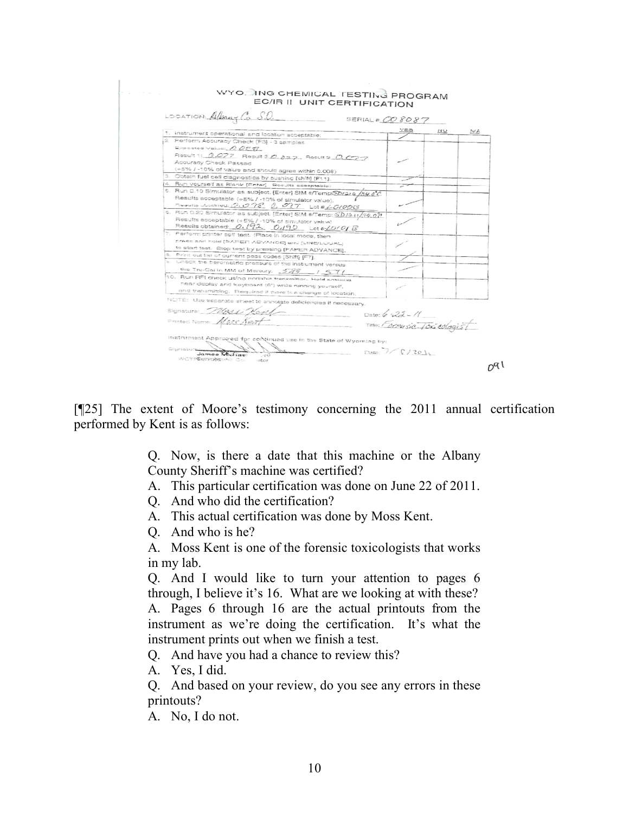| LOCATION Albany Co S.O.                                                                          | SERIAL # 008087             |    |     |  |
|--------------------------------------------------------------------------------------------------|-----------------------------|----|-----|--|
|                                                                                                  | YES                         | NO | N/A |  |
| 1. instrument operational and location acceptable:<br>2. Perform Accuracy Check (F3) - 3 samples |                             |    |     |  |
| Expected Value: 0078                                                                             |                             |    |     |  |
|                                                                                                  |                             |    |     |  |
| Result 1: 0.077 Result 2 0.077, Result 3 0.077<br>Accuracy Check Passad                          |                             |    |     |  |
|                                                                                                  |                             |    |     |  |
| (+5% / -10% of value and should agree within 0.008)                                              |                             |    |     |  |
| 3. Obtain fuel cell diagnostics by pushing [shift] [F11].                                        |                             |    |     |  |
| 4. Run yourself as Blank (Entar). Results acceptable:                                            |                             |    |     |  |
| 5. Run 0.10 Simulator as subject. (Enter) SIM #/Temps20/2/2 /34.0 C                              |                             |    |     |  |
| Results acceptable (+5% / -10% of simulator value).                                              |                             |    |     |  |
| Results obtained: 2.098 0.097 Lot # LG/00G                                                       |                             |    |     |  |
| 6. Run 0.20 Simulator as subject. [Enter] SIM #/Temp: SD/3-tr/34.07                              |                             |    |     |  |
| Results acceptable (+5% / -10% of simulator value).                                              |                             |    |     |  |
| Results obtained: 0.192 0.190 Lot + LOTO B                                                       |                             |    |     |  |
| 7. Perform printer self test. (Place in local mode, then                                         |                             |    |     |  |
| press and hold [PAPER ADVANCE] and [LINE/LOGAL]                                                  |                             |    |     |  |
| to start test. Stop test by pressing [PAPER ADVANCE],                                            |                             |    |     |  |
| 8. Print out list of current pass codes (Shift) [F7].                                            |                             |    |     |  |
| 9. Check the bardmetric pressure of the instrument versus                                        |                             |    |     |  |
| the Tru-Cai in MM of Mercury. 5.88 /57/                                                          |                             |    |     |  |
| 10. Run RFI check using portable transmitter. Hold antenna                                       |                             |    |     |  |
| near display and keyboard (6") while running yourself,                                           |                             |    |     |  |
| and transmitting. Required if there is a change of location.                                     |                             |    |     |  |
|                                                                                                  |                             |    |     |  |
| NOTE: Use separate sheet to annotate deficiencies if necessary.                                  |                             |    |     |  |
| Signature Merca Kored<br>$Date: 6 - 22 - 11$                                                     |                             |    |     |  |
| Printed Name Mass Kent                                                                           |                             |    |     |  |
|                                                                                                  | Time: Formusic Toxicologist |    |     |  |
|                                                                                                  |                             |    |     |  |
| instrument Approved for continued use in the State of Wyoming by:                                |                             |    |     |  |
| Signatures                                                                                       |                             |    |     |  |
| James Michael<br>$-0.02$                                                                         | Date: $\frac{1}{2}$ (120)   |    |     |  |

[¶25] The extent of Moore's testimony concerning the 2011 annual certification performed by Kent is as follows:

> Q. Now, is there a date that this machine or the Albany County Sheriff's machine was certified?

> A. This particular certification was done on June 22 of 2011.

Q. And who did the certification?

A. This actual certification was done by Moss Kent.

Q. And who is he?

A. Moss Kent is one of the forensic toxicologists that works in my lab.

Q. And I would like to turn your attention to pages 6 through, I believe it's 16. What are we looking at with these? A. Pages 6 through 16 are the actual printouts from the instrument as we're doing the certification. It's what the instrument prints out when we finish a test.

Q. And have you had a chance to review this?

A. Yes, I did.

Q. And based on your review, do you see any errors in these printouts?

A. No, I do not.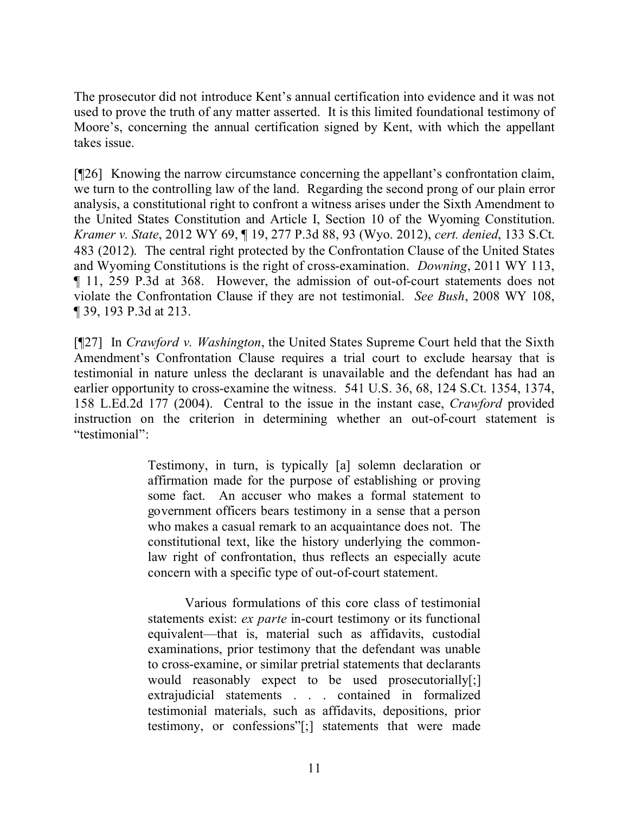The prosecutor did not introduce Kent's annual certification into evidence and it was not used to prove the truth of any matter asserted. It is this limited foundational testimony of Moore's, concerning the annual certification signed by Kent, with which the appellant takes issue.

[¶26] Knowing the narrow circumstance concerning the appellant's confrontation claim, we turn to the controlling law of the land. Regarding the second prong of our plain error analysis, a constitutional right to confront a witness arises under the Sixth Amendment to the United States Constitution and Article I, Section 10 of the Wyoming Constitution. *Kramer v. State*, 2012 WY 69, ¶ 19, 277 P.3d 88, 93 (Wyo. 2012), *cert. denied*, 133 S.Ct. 483 (2012). The central right protected by the Confrontation Clause of the United States and Wyoming Constitutions is the right of cross-examination. *Downing*, 2011 WY 113, ¶ 11, 259 P.3d at 368. However, the admission of out-of-court statements does not violate the Confrontation Clause if they are not testimonial. *See Bush*, 2008 WY 108, ¶ 39, 193 P.3d at 213.

[¶27] In *Crawford v. Washington*, the United States Supreme Court held that the Sixth Amendment's Confrontation Clause requires a trial court to exclude hearsay that is testimonial in nature unless the declarant is unavailable and the defendant has had an earlier opportunity to cross-examine the witness. 541 U.S. 36, 68, 124 S.Ct. 1354, 1374, 158 L.Ed.2d 177 (2004). Central to the issue in the instant case, *Crawford* provided instruction on the criterion in determining whether an out-of-court statement is "testimonial":

> Testimony, in turn, is typically [a] solemn declaration or affirmation made for the purpose of establishing or proving some fact. An accuser who makes a formal statement to government officers bears testimony in a sense that a person who makes a casual remark to an acquaintance does not. The constitutional text, like the history underlying the commonlaw right of confrontation, thus reflects an especially acute concern with a specific type of out-of-court statement.

> Various formulations of this core class of testimonial statements exist: *ex parte* in-court testimony or its functional equivalent—that is, material such as affidavits, custodial examinations, prior testimony that the defendant was unable to cross-examine, or similar pretrial statements that declarants would reasonably expect to be used prosecutorially[;] extrajudicial statements . . . contained in formalized testimonial materials, such as affidavits, depositions, prior testimony, or confessions"[;] statements that were made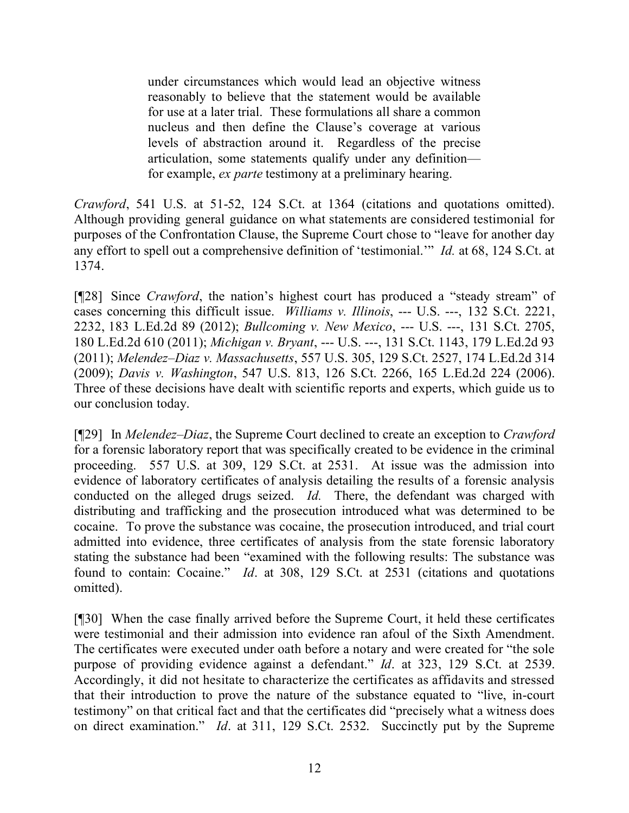under circumstances which would lead an objective witness reasonably to believe that the statement would be available for use at a later trial. These formulations all share a common nucleus and then define the Clause's coverage at various levels of abstraction around it. Regardless of the precise articulation, some statements qualify under any definition for example, *ex parte* testimony at a preliminary hearing.

*Crawford*, 541 U.S. at 51-52, 124 S.Ct. at 1364 (citations and quotations omitted). Although providing general guidance on what statements are considered testimonial for purposes of the Confrontation Clause, the Supreme Court chose to "leave for another day any effort to spell out a comprehensive definition of 'testimonial.'" *Id.* at 68, 124 S.Ct. at 1374.

[¶28] Since *Crawford*, the nation's highest court has produced a "steady stream" of cases concerning this difficult issue. *Williams v. Illinois*, --- U.S. ---, 132 S.Ct. 2221, 2232, 183 L.Ed.2d 89 (2012); *Bullcoming v. New Mexico*, --- U.S. ---, 131 S.Ct. 2705, 180 L.Ed.2d 610 (2011); *Michigan v. Bryant*, --- U.S. ---, 131 S.Ct. 1143, 179 L.Ed.2d 93 (2011); *Melendez–Diaz v. Massachusetts*, 557 U.S. 305, 129 S.Ct. 2527, 174 L.Ed.2d 314 (2009); *Davis v. Washington*, 547 U.S. 813, 126 S.Ct. 2266, 165 L.Ed.2d 224 (2006). Three of these decisions have dealt with scientific reports and experts, which guide us to our conclusion today.

[¶29] In *Melendez–Diaz*, the Supreme Court declined to create an exception to *Crawford* for a forensic laboratory report that was specifically created to be evidence in the criminal proceeding. 557 U.S. at 309, 129 S.Ct. at 2531. At issue was the admission into evidence of laboratory certificates of analysis detailing the results of a forensic analysis conducted on the alleged drugs seized. *Id.* There, the defendant was charged with distributing and trafficking and the prosecution introduced what was determined to be cocaine. To prove the substance was cocaine, the prosecution introduced, and trial court admitted into evidence, three certificates of analysis from the state forensic laboratory stating the substance had been "examined with the following results: The substance was found to contain: Cocaine." *Id*. at 308, 129 S.Ct. at 2531 (citations and quotations omitted).

[¶30] When the case finally arrived before the Supreme Court, it held these certificates were testimonial and their admission into evidence ran afoul of the Sixth Amendment. The certificates were executed under oath before a notary and were created for "the sole purpose of providing evidence against a defendant." *Id*. at 323, 129 S.Ct. at 2539. Accordingly, it did not hesitate to characterize the certificates as affidavits and stressed that their introduction to prove the nature of the substance equated to "live, in-court testimony" on that critical fact and that the certificates did "precisely what a witness does on direct examination." *Id*. at 311, 129 S.Ct. 2532. Succinctly put by the Supreme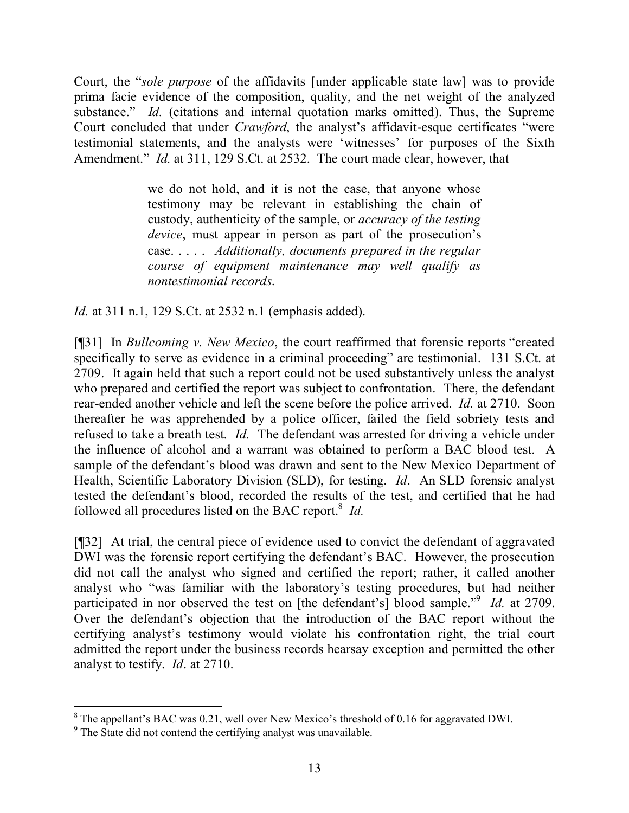Court, the "*sole purpose* of the affidavits [under applicable state law] was to provide prima facie evidence of the composition, quality, and the net weight of the analyzed substance." *Id.* (citations and internal quotation marks omitted). Thus, the Supreme Court concluded that under *Crawford*, the analyst's affidavit-esque certificates "were testimonial statements, and the analysts were 'witnesses' for purposes of the Sixth Amendment." *Id.* at 311, 129 S.Ct. at 2532. The court made clear, however, that

> we do not hold, and it is not the case, that anyone whose testimony may be relevant in establishing the chain of custody, authenticity of the sample, or *accuracy of the testing device*, must appear in person as part of the prosecution's case. . . . . *Additionally, documents prepared in the regular course of equipment maintenance may well qualify as nontestimonial records*.

*Id.* at 311 n.1, 129 S.Ct. at 2532 n.1 (emphasis added).

[¶31] In *Bullcoming v. New Mexico*, the court reaffirmed that forensic reports "created specifically to serve as evidence in a criminal proceeding" are testimonial. 131 S.Ct. at 2709. It again held that such a report could not be used substantively unless the analyst who prepared and certified the report was subject to confrontation. There, the defendant rear-ended another vehicle and left the scene before the police arrived. *Id.* at 2710. Soon thereafter he was apprehended by a police officer, failed the field sobriety tests and refused to take a breath test. *Id.* The defendant was arrested for driving a vehicle under the influence of alcohol and a warrant was obtained to perform a BAC blood test. A sample of the defendant's blood was drawn and sent to the New Mexico Department of Health, Scientific Laboratory Division (SLD), for testing. *Id*. An SLD forensic analyst tested the defendant's blood, recorded the results of the test, and certified that he had followed all procedures listed on the BAC report.<sup>8</sup> *Id.* 

[¶32] At trial, the central piece of evidence used to convict the defendant of aggravated DWI was the forensic report certifying the defendant's BAC. However, the prosecution did not call the analyst who signed and certified the report; rather, it called another analyst who "was familiar with the laboratory's testing procedures, but had neither participated in nor observed the test on [the defendant's] blood sample.<sup>"9</sup> *Id.* at 2709. Over the defendant's objection that the introduction of the BAC report without the certifying analyst's testimony would violate his confrontation right, the trial court admitted the report under the business records hearsay exception and permitted the other analyst to testify. *Id*. at 2710.

 $\overline{a}$ 

 $8$  The appellant's BAC was 0.21, well over New Mexico's threshold of 0.16 for aggravated DWI.

<sup>&</sup>lt;sup>9</sup> The State did not contend the certifying analyst was unavailable.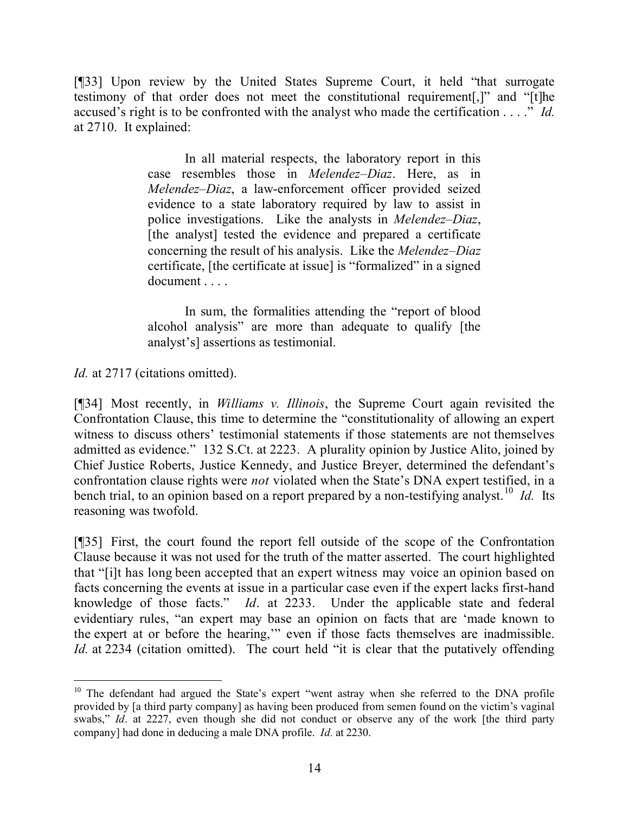[¶33] Upon review by the United States Supreme Court, it held "that surrogate testimony of that order does not meet the constitutional requirement[,]" and "[t]he accused's right is to be confronted with the analyst who made the certification . . . ." *Id.* at 2710. It explained:

> In all material respects, the laboratory report in this case resembles those in *Melendez–Diaz*. Here, as in *Melendez–Diaz*, a law-enforcement officer provided seized evidence to a state laboratory required by law to assist in police investigations. Like the analysts in *Melendez–Diaz*, [the analyst] tested the evidence and prepared a certificate concerning the result of his analysis. Like the *Melendez–Diaz* certificate, [the certificate at issue] is "formalized" in a signed document . . . .

> In sum, the formalities attending the "report of blood alcohol analysis" are more than adequate to qualify [the analyst's] assertions as testimonial.

*Id.* at 2717 (citations omitted).

[¶34] Most recently, in *Williams v. Illinois*, the Supreme Court again revisited the Confrontation Clause, this time to determine the "constitutionality of allowing an expert witness to discuss others' testimonial statements if those statements are not themselves admitted as evidence." 132 S.Ct. at 2223. A plurality opinion by Justice Alito, joined by Chief Justice Roberts, Justice Kennedy, and Justice Breyer, determined the defendant's confrontation clause rights were *not* violated when the State's DNA expert testified, in a bench trial, to an opinion based on a report prepared by a non-testifying analyst.<sup>10</sup> *Id.* Its reasoning was twofold.

[¶35] First, the court found the report fell outside of the scope of the Confrontation Clause because it was not used for the truth of the matter asserted. The court highlighted that "[i]t has long been accepted that an expert witness may voice an opinion based on facts concerning the events at issue in a particular case even if the expert lacks first-hand knowledge of those facts." *Id*. at 2233. Under the applicable state and federal evidentiary rules, "an expert may base an opinion on facts that are 'made known to the expert at or before the hearing,'" even if those facts themselves are inadmissible. *Id.* at 2234 (citation omitted). The court held "it is clear that the putatively offending

<sup>&</sup>lt;sup>10</sup> The defendant had argued the State's expert "went astray when she referred to the DNA profile provided by [a third party company] as having been produced from semen found on the victim's vaginal swabs," *Id*. at 2227, even though she did not conduct or observe any of the work [the third party company] had done in deducing a male DNA profile. *Id.* at 2230.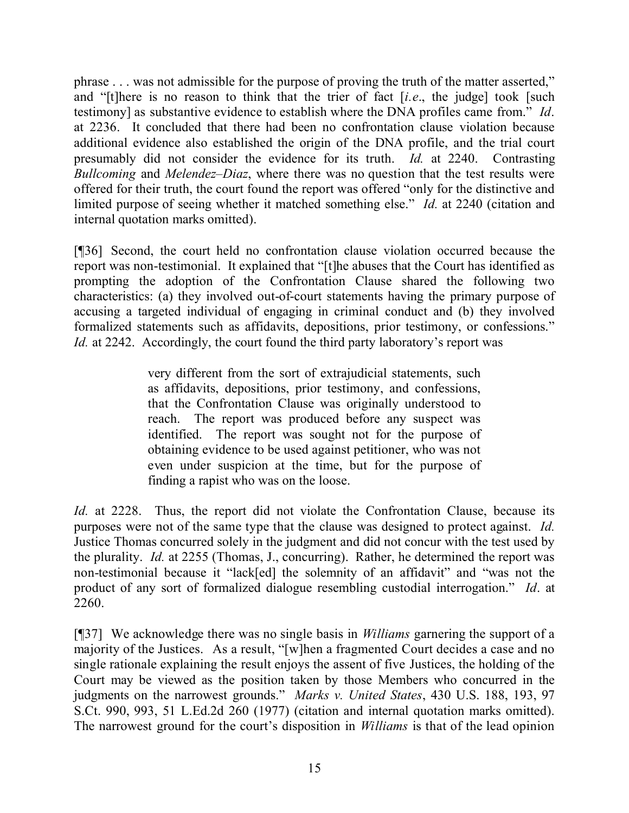phrase . . . was not admissible for the purpose of proving the truth of the matter asserted," and "[t]here is no reason to think that the trier of fact [*i.e*., the judge] took [such testimony] as substantive evidence to establish where the DNA profiles came from." *Id*. at 2236. It concluded that there had been no confrontation clause violation because additional evidence also established the origin of the DNA profile, and the trial court presumably did not consider the evidence for its truth. *Id.* at 2240. Contrasting *Bullcoming* and *Melendez–Diaz*, where there was no question that the test results were offered for their truth, the court found the report was offered "only for the distinctive and limited purpose of seeing whether it matched something else." *Id.* at 2240 (citation and internal quotation marks omitted).

[¶36] Second, the court held no confrontation clause violation occurred because the report was non-testimonial. It explained that "[t]he abuses that the Court has identified as prompting the adoption of the Confrontation Clause shared the following two characteristics: (a) they involved out-of-court statements having the primary purpose of accusing a targeted individual of engaging in criminal conduct and (b) they involved formalized statements such as affidavits, depositions, prior testimony, or confessions." *Id.* at 2242. Accordingly, the court found the third party laboratory's report was

> very different from the sort of extrajudicial statements, such as affidavits, depositions, prior testimony, and confessions, that the Confrontation Clause was originally understood to reach. The report was produced before any suspect was identified. The report was sought not for the purpose of obtaining evidence to be used against petitioner, who was not even under suspicion at the time, but for the purpose of finding a rapist who was on the loose.

*Id.* at 2228. Thus, the report did not violate the Confrontation Clause, because its purposes were not of the same type that the clause was designed to protect against. *Id.* Justice Thomas concurred solely in the judgment and did not concur with the test used by the plurality. *Id.* at 2255 (Thomas, J., concurring). Rather, he determined the report was non-testimonial because it "lack[ed] the solemnity of an affidavit" and "was not the product of any sort of formalized dialogue resembling custodial interrogation." *Id*. at 2260.

[¶37] We acknowledge there was no single basis in *Williams* garnering the support of a majority of the Justices. As a result, "[w]hen a fragmented Court decides a case and no single rationale explaining the result enjoys the assent of five Justices, the holding of the Court may be viewed as the position taken by those Members who concurred in the judgments on the narrowest grounds." *Marks v. United States*, 430 U.S. 188, 193, 97 S.Ct. 990, 993, 51 L.Ed.2d 260 (1977) (citation and internal quotation marks omitted). The narrowest ground for the court's disposition in *Williams* is that of the lead opinion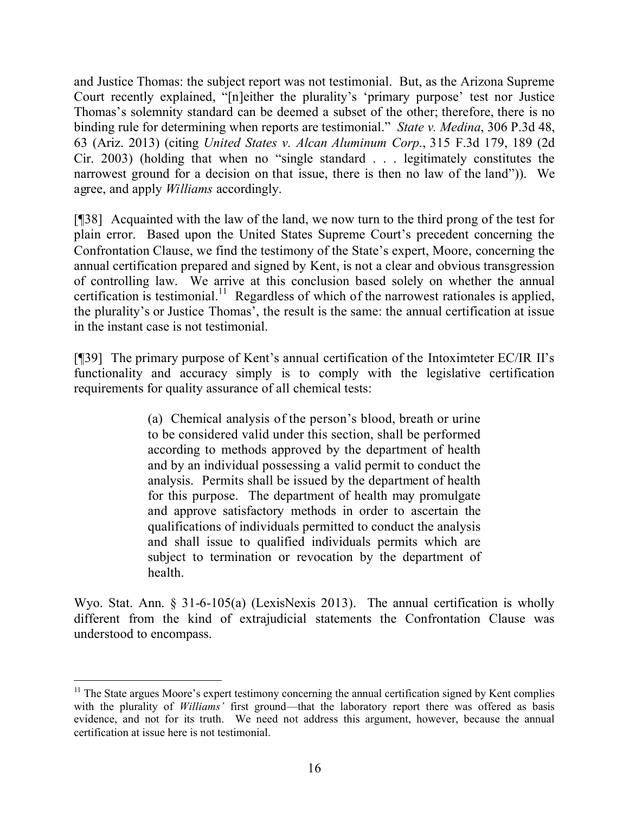and Justice Thomas: the subject report was not testimonial. But, as the Arizona Supreme Court recently explained, "[n]either the plurality's 'primary purpose' test nor Justice Thomas's solemnity standard can be deemed a subset of the other; therefore, there is no binding rule for determining when reports are testimonial." *State v. Medina*, 306 P.3d 48, 63 (Ariz. 2013) (citing *United States v. Alcan Aluminum Corp*., 315 F.3d 179, 189 (2d Cir. 2003) (holding that when no "single standard . . . legitimately constitutes the narrowest ground for a decision on that issue, there is then no law of the land")). We agree, and apply *Williams* accordingly.

[¶38] Acquainted with the law of the land, we now turn to the third prong of the test for plain error. Based upon the United States Supreme Court's precedent concerning the Confrontation Clause, we find the testimony of the State's expert, Moore, concerning the annual certification prepared and signed by Kent, is not a clear and obvious transgression of controlling law. We arrive at this conclusion based solely on whether the annual certification is testimonial.<sup>11</sup> Regardless of which of the narrowest rationales is applied, the plurality's or Justice Thomas', the result is the same: the annual certification at issue in the instant case is not testimonial.

[¶39] The primary purpose of Kent's annual certification of the Intoximteter EC/IR II's functionality and accuracy simply is to comply with the legislative certification requirements for quality assurance of all chemical tests:

> (a) Chemical analysis of the person's blood, breath or urine to be considered valid under this section, shall be performed according to methods approved by the department of health and by an individual possessing a valid permit to conduct the analysis. Permits shall be issued by the department of health for this purpose. The department of health may promulgate and approve satisfactory methods in order to ascertain the qualifications of individuals permitted to conduct the analysis and shall issue to qualified individuals permits which are subject to termination or revocation by the department of health.

Wyo. Stat. Ann. § 31-6-105(a) (LexisNexis 2013). The annual certification is wholly different from the kind of extrajudicial statements the Confrontation Clause was understood to encompass.

 $11$  The State argues Moore's expert testimony concerning the annual certification signed by Kent complies with the plurality of *Williams'* first ground—that the laboratory report there was offered as basis evidence, and not for its truth. We need not address this argument, however, because the annual certification at issue here is not testimonial.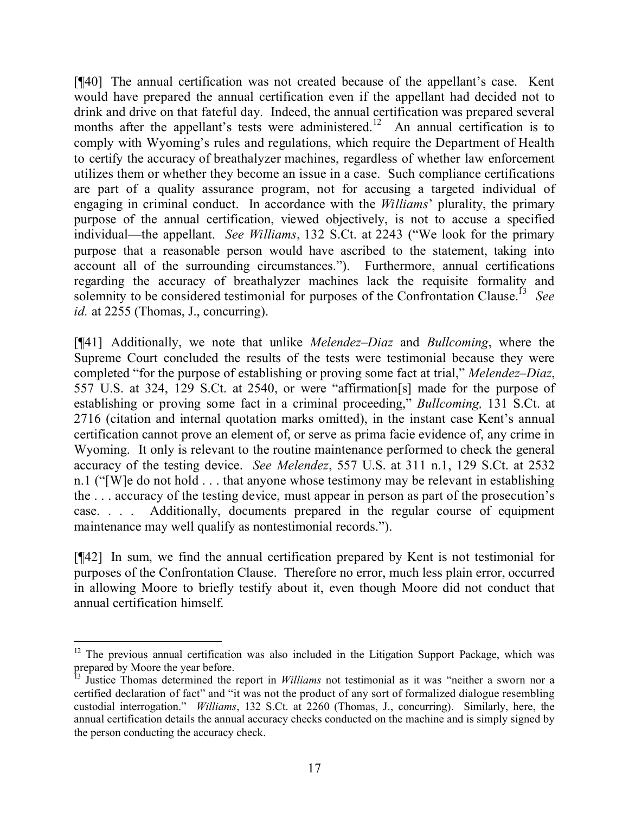[¶40] The annual certification was not created because of the appellant's case. Kent would have prepared the annual certification even if the appellant had decided not to drink and drive on that fateful day. Indeed, the annual certification was prepared several months after the appellant's tests were administered.<sup>12</sup> An annual certification is to comply with Wyoming's rules and regulations, which require the Department of Health to certify the accuracy of breathalyzer machines, regardless of whether law enforcement utilizes them or whether they become an issue in a case. Such compliance certifications are part of a quality assurance program, not for accusing a targeted individual of engaging in criminal conduct. In accordance with the *Williams*' plurality, the primary purpose of the annual certification, viewed objectively, is not to accuse a specified individual—the appellant. *See Williams*, 132 S.Ct. at 2243 ("We look for the primary purpose that a reasonable person would have ascribed to the statement, taking into account all of the surrounding circumstances."). Furthermore, annual certifications regarding the accuracy of breathalyzer machines lack the requisite formality and solemnity to be considered testimonial for purposes of the Confrontation Clause.<sup>[3</sup> See *id.* at 2255 (Thomas, J., concurring).

[¶41] Additionally, we note that unlike *Melendez–Diaz* and *Bullcoming*, where the Supreme Court concluded the results of the tests were testimonial because they were completed "for the purpose of establishing or proving some fact at trial," *Melendez–Diaz*, 557 U.S. at 324, 129 S.Ct. at 2540, or were "affirmation[s] made for the purpose of establishing or proving some fact in a criminal proceeding," *Bullcoming,* 131 S.Ct. at 2716 (citation and internal quotation marks omitted), in the instant case Kent's annual certification cannot prove an element of, or serve as prima facie evidence of, any crime in Wyoming. It only is relevant to the routine maintenance performed to check the general accuracy of the testing device. *See Melendez*, 557 U.S. at 311 n.1, 129 S.Ct. at 2532 n.1 ("[W]e do not hold . . . that anyone whose testimony may be relevant in establishing the . . . accuracy of the testing device, must appear in person as part of the prosecution's case. . . . Additionally, documents prepared in the regular course of equipment maintenance may well qualify as nontestimonial records.").

[¶42] In sum, we find the annual certification prepared by Kent is not testimonial for purposes of the Confrontation Clause. Therefore no error, much less plain error, occurred in allowing Moore to briefly testify about it, even though Moore did not conduct that annual certification himself.

 $\overline{a}$ 

 $12$  The previous annual certification was also included in the Litigation Support Package, which was prepared by Moore the year before.

<sup>&</sup>lt;sup>13</sup> Justice Thomas determined the report in *Williams* not testimonial as it was "neither a sworn nor a certified declaration of fact" and "it was not the product of any sort of formalized dialogue resembling custodial interrogation." *Williams*, 132 S.Ct. at 2260 (Thomas, J., concurring). Similarly, here, the annual certification details the annual accuracy checks conducted on the machine and is simply signed by the person conducting the accuracy check.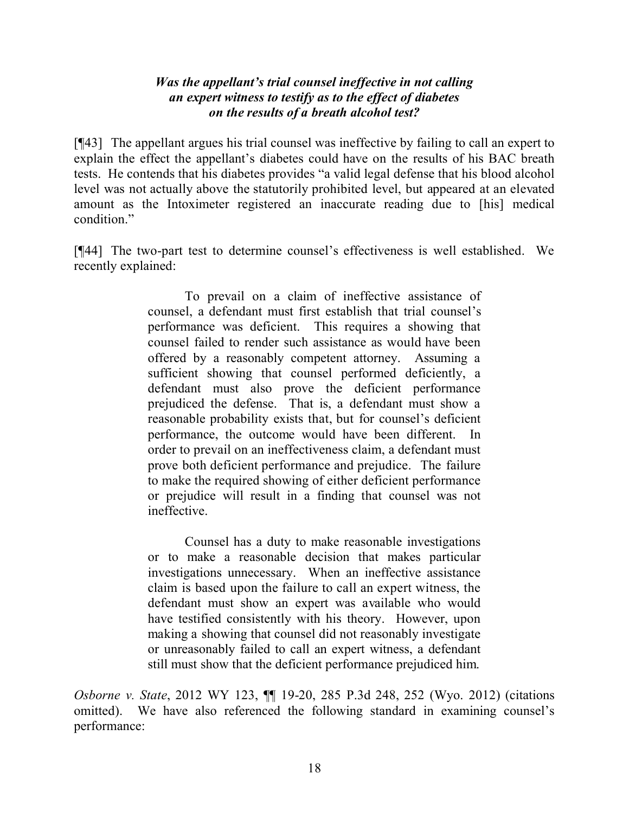## *Was the appellant's trial counsel ineffective in not calling an expert witness to testify as to the effect of diabetes on the results of a breath alcohol test?*

[¶43] The appellant argues his trial counsel was ineffective by failing to call an expert to explain the effect the appellant's diabetes could have on the results of his BAC breath tests. He contends that his diabetes provides "a valid legal defense that his blood alcohol level was not actually above the statutorily prohibited level, but appeared at an elevated amount as the Intoximeter registered an inaccurate reading due to [his] medical condition."

[¶44] The two-part test to determine counsel's effectiveness is well established. We recently explained:

> To prevail on a claim of ineffective assistance of counsel, a defendant must first establish that trial counsel's performance was deficient. This requires a showing that counsel failed to render such assistance as would have been offered by a reasonably competent attorney. Assuming a sufficient showing that counsel performed deficiently, a defendant must also prove the deficient performance prejudiced the defense. That is, a defendant must show a reasonable probability exists that, but for counsel's deficient performance, the outcome would have been different. In order to prevail on an ineffectiveness claim, a defendant must prove both deficient performance and prejudice. The failure to make the required showing of either deficient performance or prejudice will result in a finding that counsel was not ineffective.

> Counsel has a duty to make reasonable investigations or to make a reasonable decision that makes particular investigations unnecessary. When an ineffective assistance claim is based upon the failure to call an expert witness, the defendant must show an expert was available who would have testified consistently with his theory. However, upon making a showing that counsel did not reasonably investigate or unreasonably failed to call an expert witness, a defendant still must show that the deficient performance prejudiced him.

*Osborne v. State*, 2012 WY 123, ¶¶ 19-20, 285 P.3d 248, 252 (Wyo. 2012) (citations omitted). We have also referenced the following standard in examining counsel's performance: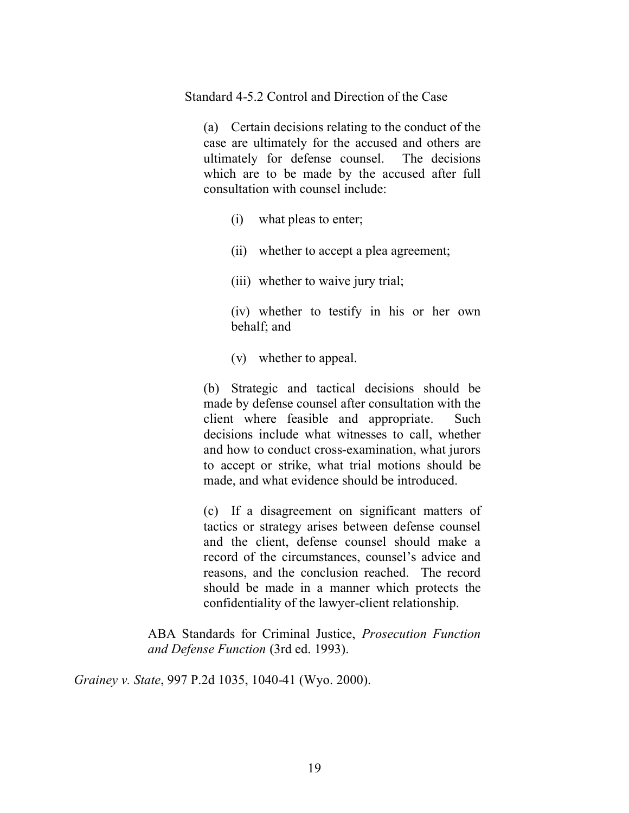Standard 4-5.2 Control and Direction of the Case

(a) Certain decisions relating to the conduct of the case are ultimately for the accused and others are ultimately for defense counsel. The decisions which are to be made by the accused after full consultation with counsel include:

- (i) what pleas to enter;
- (ii) whether to accept a plea agreement;
- (iii) whether to waive jury trial;

(iv) whether to testify in his or her own behalf; and

(v) whether to appeal.

(b) Strategic and tactical decisions should be made by defense counsel after consultation with the client where feasible and appropriate. Such decisions include what witnesses to call, whether and how to conduct cross-examination, what jurors to accept or strike, what trial motions should be made, and what evidence should be introduced.

(c) If a disagreement on significant matters of tactics or strategy arises between defense counsel and the client, defense counsel should make a record of the circumstances, counsel's advice and reasons, and the conclusion reached. The record should be made in a manner which protects the confidentiality of the lawyer-client relationship.

ABA Standards for Criminal Justice, *Prosecution Function and Defense Function* (3rd ed. 1993).

*Grainey v. State*, 997 P.2d 1035, 1040-41 (Wyo. 2000).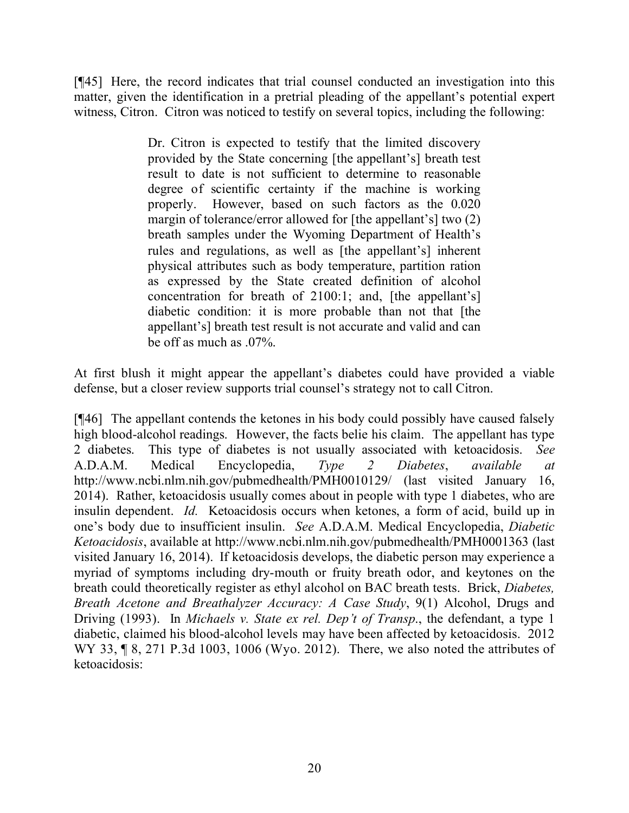[¶45] Here, the record indicates that trial counsel conducted an investigation into this matter, given the identification in a pretrial pleading of the appellant's potential expert witness, Citron. Citron was noticed to testify on several topics, including the following:

> Dr. Citron is expected to testify that the limited discovery provided by the State concerning [the appellant's] breath test result to date is not sufficient to determine to reasonable degree of scientific certainty if the machine is working properly. However, based on such factors as the 0.020 margin of tolerance/error allowed for [the appellant's] two (2) breath samples under the Wyoming Department of Health's rules and regulations, as well as [the appellant's] inherent physical attributes such as body temperature, partition ration as expressed by the State created definition of alcohol concentration for breath of 2100:1; and, [the appellant's] diabetic condition: it is more probable than not that [the appellant's] breath test result is not accurate and valid and can be off as much as .07%.

At first blush it might appear the appellant's diabetes could have provided a viable defense, but a closer review supports trial counsel's strategy not to call Citron.

[¶46] The appellant contends the ketones in his body could possibly have caused falsely high blood-alcohol readings. However, the facts belie his claim. The appellant has type 2 diabetes. This type of diabetes is not usually associated with ketoacidosis. *See* A.D.A.M. Medical Encyclopedia, *Type 2 Diabetes*, *available at* http://www.ncbi.nlm.nih.gov/pubmedhealth/PMH0010129/ (last visited January 16, 2014). Rather, ketoacidosis usually comes about in people with type 1 diabetes, who are insulin dependent. *Id.* Ketoacidosis occurs when ketones, a form of acid, build up in one's body due to insufficient insulin. *See* A.D.A.M. Medical Encyclopedia, *Diabetic Ketoacidosis*, available at http://www.ncbi.nlm.nih.gov/pubmedhealth/PMH0001363 (last visited January 16, 2014). If ketoacidosis develops, the diabetic person may experience a myriad of symptoms including dry-mouth or fruity breath odor, and keytones on the breath could theoretically register as ethyl alcohol on BAC breath tests. Brick, *Diabetes, Breath Acetone and Breathalyzer Accuracy: A Case Study*, 9(1) Alcohol, Drugs and Driving (1993). In *Michaels v. State ex rel. Dep't of Transp*., the defendant, a type 1 diabetic, claimed his blood-alcohol levels may have been affected by ketoacidosis. 2012 WY 33, ¶ 8, 271 P.3d 1003, 1006 (Wyo. 2012). There, we also noted the attributes of ketoacidosis: